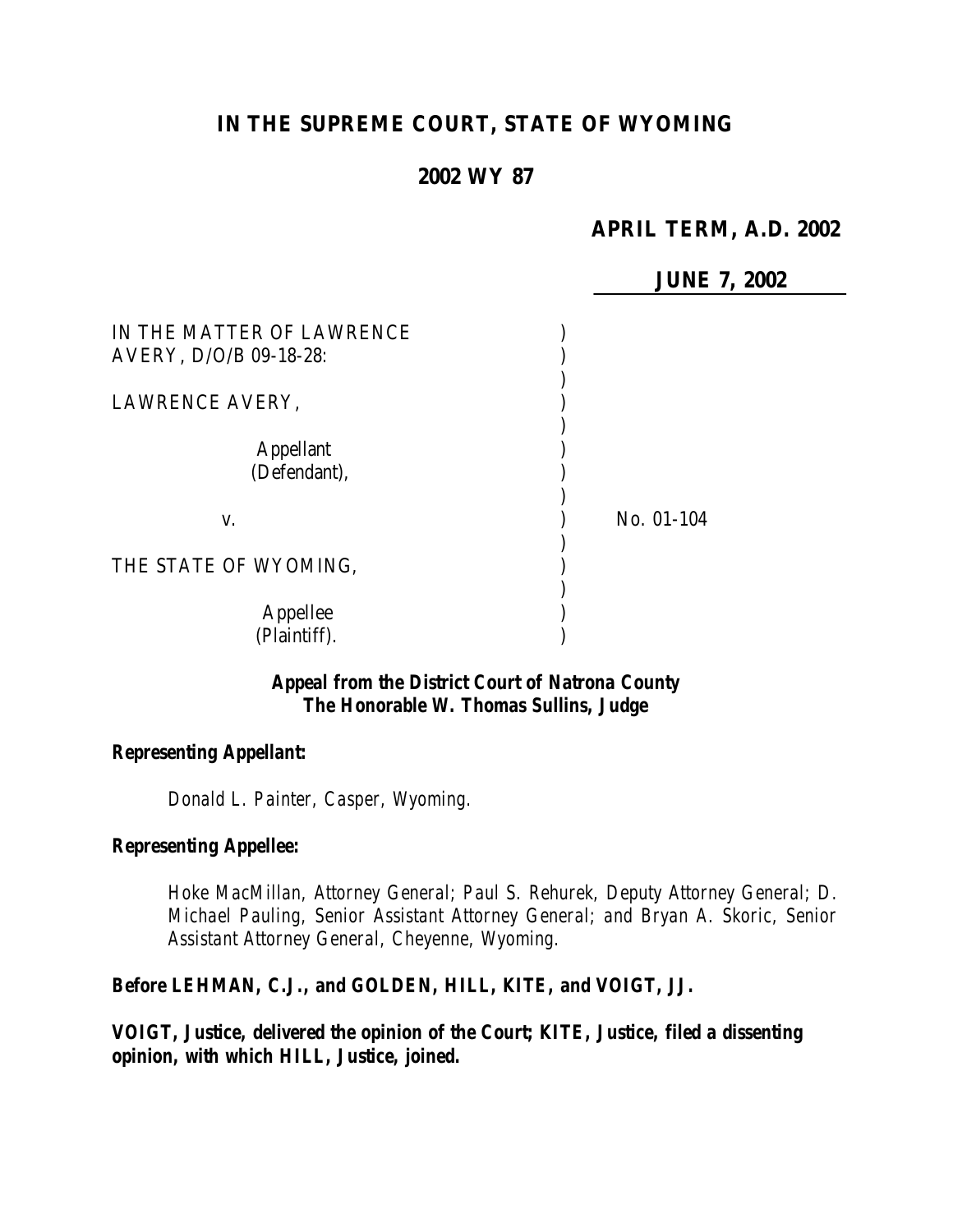# **IN THE SUPREME COURT, STATE OF WYOMING**

### **2002 WY 87**

## **APRIL TERM, A.D. 2002**

|                                                     | <b>JUNE 7, 2002</b> |
|-----------------------------------------------------|---------------------|
| IN THE MATTER OF LAWRENCE<br>AVERY, D/O/B 09-18-28: |                     |
| LAWRENCE AVERY,                                     |                     |
| <b>Appellant</b><br>(Defendant),                    |                     |
| V.                                                  | No. 01-104          |
| THE STATE OF WYOMING,                               |                     |
| Appellee<br>(Plaintiff).                            |                     |

#### *Appeal from the District Court of Natrona County The Honorable W. Thomas Sullins, Judge*

#### *Representing Appellant:*

*Donald L. Painter, Casper, Wyoming.*

#### *Representing Appellee:*

*Hoke MacMillan, Attorney General; Paul S. Rehurek, Deputy Attorney General; D. Michael Pauling, Senior Assistant Attorney General; and Bryan A. Skoric, Senior Assistant Attorney General, Cheyenne, Wyoming.*

# *Before LEHMAN, C.J., and GOLDEN, HILL, KITE, and VOIGT, JJ.*

*VOIGT, Justice, delivered the opinion of the Court; KITE, Justice, filed a dissenting opinion, with which HILL, Justice, joined.*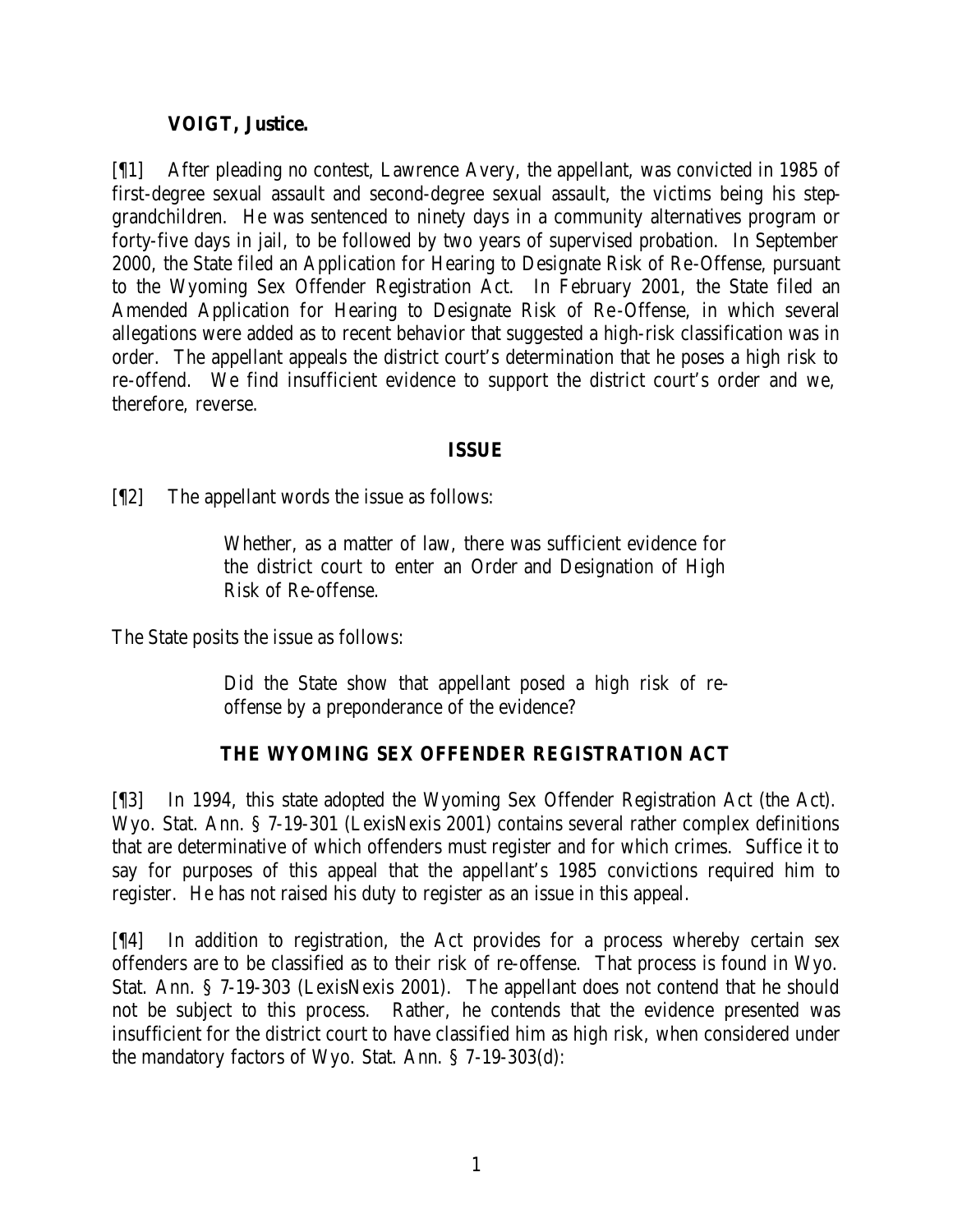# **VOIGT, Justice.**

[¶1] After pleading no contest, Lawrence Avery, the appellant, was convicted in 1985 of first-degree sexual assault and second-degree sexual assault, the victims being his stepgrandchildren. He was sentenced to ninety days in a community alternatives program or forty-five days in jail, to be followed by two years of supervised probation. In September 2000, the State filed an Application for Hearing to Designate Risk of Re-Offense, pursuant to the Wyoming Sex Offender Registration Act. In February 2001, the State filed an Amended Application for Hearing to Designate Risk of Re-Offense, in which several allegations were added as to recent behavior that suggested a high-risk classification was in order. The appellant appeals the district court's determination that he poses a high risk to re-offend. We find insufficient evidence to support the district court's order and we, therefore, reverse.

## **ISSUE**

[¶2] The appellant words the issue as follows:

Whether, as a matter of law, there was sufficient evidence for the district court to enter an Order and Designation of High Risk of Re-offense.

The State posits the issue as follows:

Did the State show that appellant posed a high risk of reoffense by a preponderance of the evidence?

# **THE WYOMING SEX OFFENDER REGISTRATION ACT**

[¶3] In 1994, this state adopted the Wyoming Sex Offender Registration Act (the Act). Wyo. Stat. Ann. § 7-19-301 (LexisNexis 2001) contains several rather complex definitions that are determinative of which offenders must register and for which crimes. Suffice it to say for purposes of this appeal that the appellant's 1985 convictions required him to register. He has not raised his duty to register as an issue in this appeal.

[¶4] In addition to registration, the Act provides for a process whereby certain sex offenders are to be classified as to their risk of re-offense. That process is found in Wyo. Stat. Ann. § 7-19-303 (LexisNexis 2001). The appellant does not contend that he should not be subject to this process. Rather, he contends that the evidence presented was insufficient for the district court to have classified him as high risk, when considered under the mandatory factors of Wyo. Stat. Ann. § 7-19-303(d):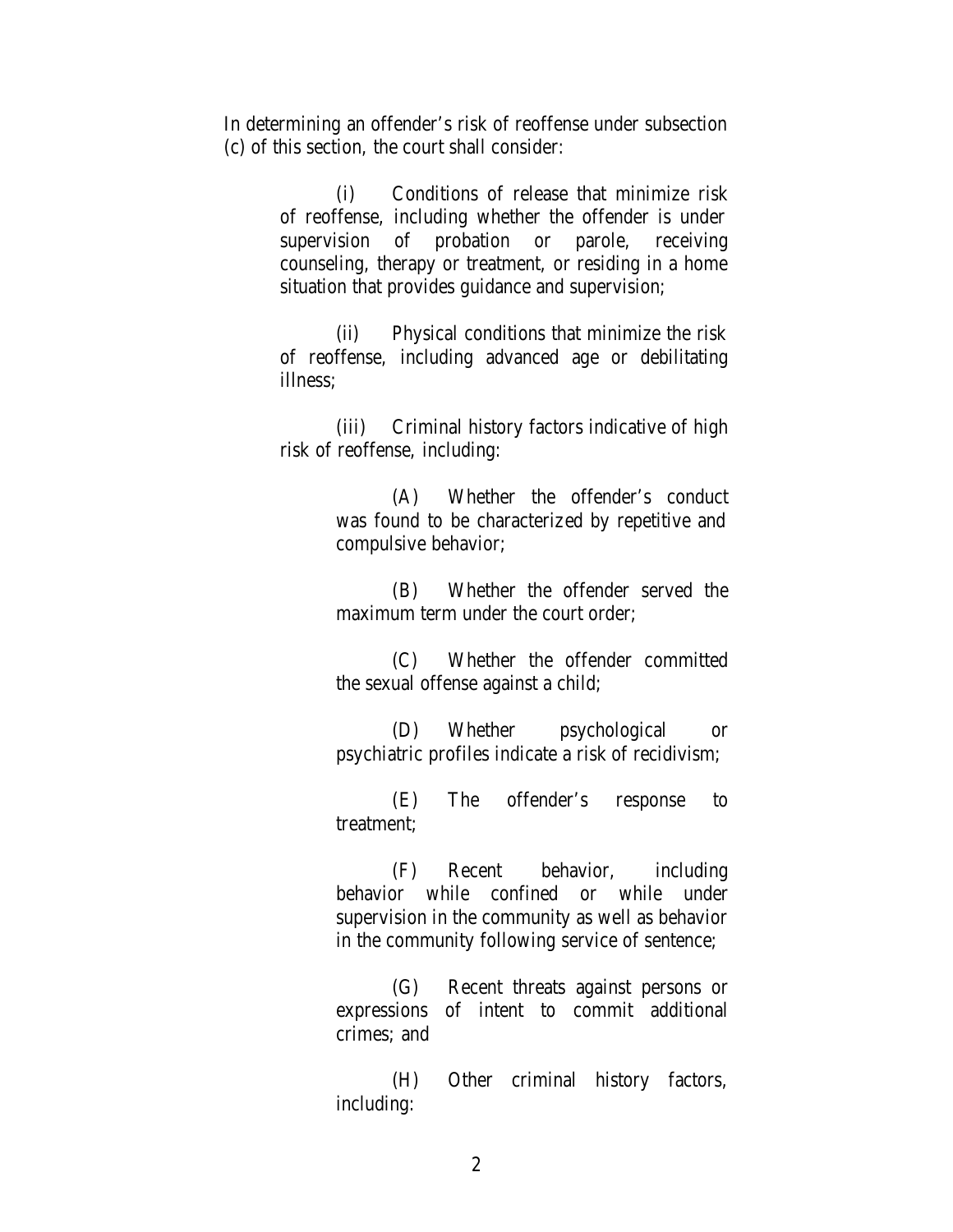In determining an offender's risk of reoffense under subsection (c) of this section, the court shall consider:

> (i) Conditions of release that minimize risk of reoffense, including whether the offender is under supervision of probation or parole, receiving counseling, therapy or treatment, or residing in a home situation that provides guidance and supervision;

> (ii) Physical conditions that minimize the risk of reoffense, including advanced age or debilitating illness;

> (iii) Criminal history factors indicative of high risk of reoffense, including:

> > (A) Whether the offender's conduct was found to be characterized by repetitive and compulsive behavior;

> > (B) Whether the offender served the maximum term under the court order;

> > (C) Whether the offender committed the sexual offense against a child;

> > (D) Whether psychological or psychiatric profiles indicate a risk of recidivism;

> > (E) The offender's response to treatment;

> > (F) Recent behavior, including behavior while confined or while under supervision in the community as well as behavior in the community following service of sentence;

> > (G) Recent threats against persons or expressions of intent to commit additional crimes; and

> > (H) Other criminal history factors, including:

> > > 2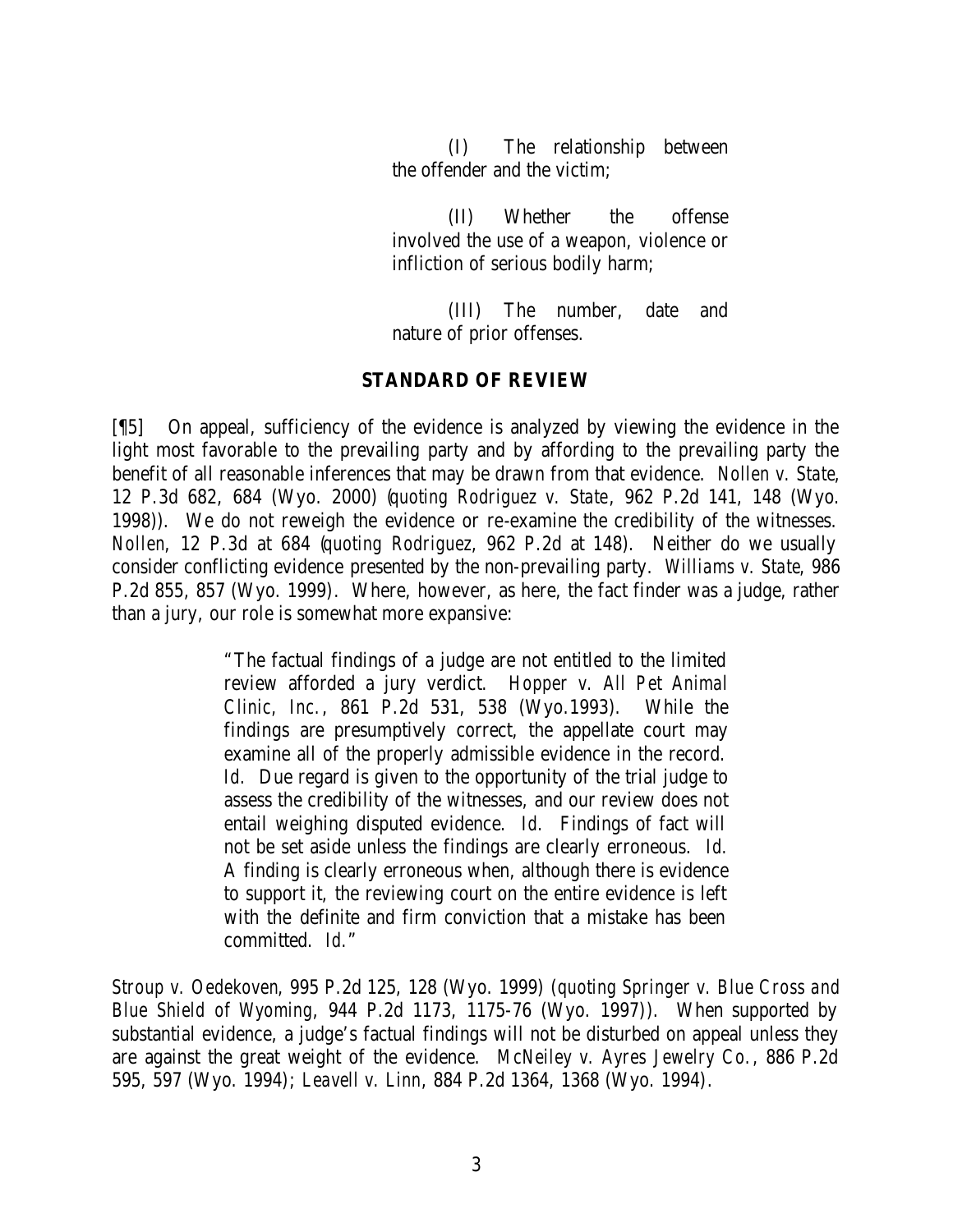(I) The relationship between the offender and the victim;

(II) Whether the offense involved the use of a weapon, violence or infliction of serious bodily harm;

(III) The number, date and nature of prior offenses.

#### **STANDARD OF REVIEW**

[¶5] On appeal, sufficiency of the evidence is analyzed by viewing the evidence in the light most favorable to the prevailing party and by affording to the prevailing party the benefit of all reasonable inferences that may be drawn from that evidence. *Nollen v. State*, 12 P.3d 682, 684 (Wyo. 2000) (*quoting Rodriguez v. State*, 962 P.2d 141, 148 (Wyo. 1998)). We do not reweigh the evidence or re-examine the credibility of the witnesses. *Nollen*, 12 P.3d at 684 (*quoting Rodriguez*, 962 P.2d at 148). Neither do we usually consider conflicting evidence presented by the non-prevailing party. *Williams v. State*, 986 P.2d 855, 857 (Wyo. 1999). Where, however, as here, the fact finder was a judge, rather than a jury, our role is somewhat more expansive:

> "The factual findings of a judge are not entitled to the limited review afforded a jury verdict. *Hopper v. All Pet Animal Clinic, Inc.*, 861 P.2d 531, 538 (Wyo.1993). While the findings are presumptively correct, the appellate court may examine all of the properly admissible evidence in the record. *Id.* Due regard is given to the opportunity of the trial judge to assess the credibility of the witnesses, and our review does not entail weighing disputed evidence. *Id.* Findings of fact will not be set aside unless the findings are clearly erroneous. *Id.* A finding is clearly erroneous when, although there is evidence to support it, the reviewing court on the entire evidence is left with the definite and firm conviction that a mistake has been committed. *Id.*"

*Stroup v. Oedekoven*, 995 P.2d 125, 128 (Wyo. 1999) (*quoting Springer v. Blue Cross and Blue Shield of Wyoming*, 944 P.2d 1173, 1175-76 (Wyo. 1997)). When supported by substantial evidence, a judge's factual findings will not be disturbed on appeal unless they are against the great weight of the evidence. *McNeiley v. Ayres Jewelry Co.*, 886 P.2d 595, 597 (Wyo. 1994); *Leavell v. Linn*, 884 P.2d 1364, 1368 (Wyo. 1994).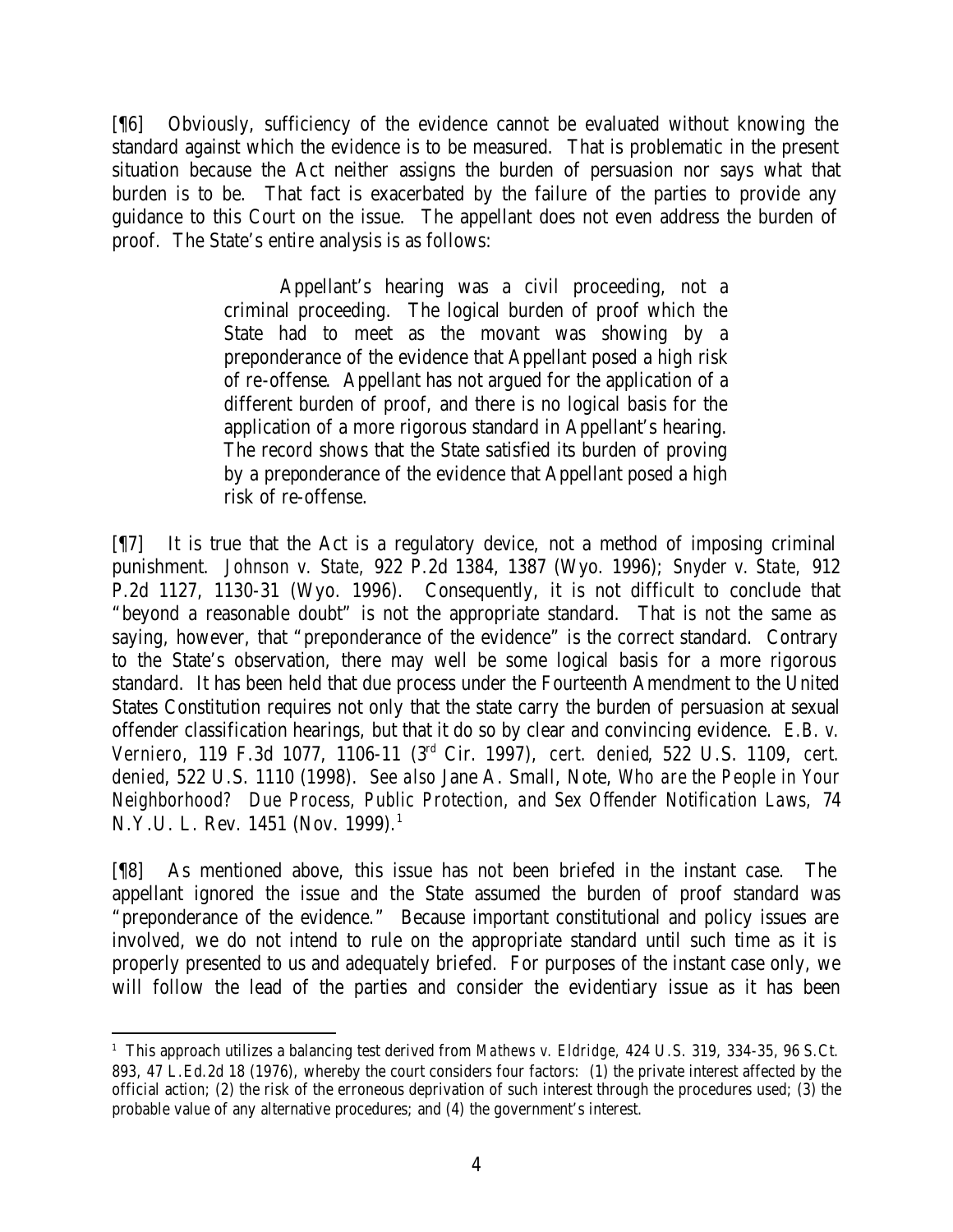[¶6] Obviously, sufficiency of the evidence cannot be evaluated without knowing the standard against which the evidence is to be measured. That is problematic in the present situation because the Act neither assigns the burden of persuasion nor says what that burden is to be. That fact is exacerbated by the failure of the parties to provide any guidance to this Court on the issue. The appellant does not even address the burden of proof. The State's entire analysis is as follows:

> Appellant's hearing was a civil proceeding, not a criminal proceeding. The logical burden of proof which the State had to meet as the movant was showing by a preponderance of the evidence that Appellant posed a high risk of re-offense. Appellant has not argued for the application of a different burden of proof, and there is no logical basis for the application of a more rigorous standard in Appellant's hearing. The record shows that the State satisfied its burden of proving by a preponderance of the evidence that Appellant posed a high risk of re-offense.

[¶7] It is true that the Act is a regulatory device, not a method of imposing criminal punishment. *Johnson v. State,* 922 P.2d 1384, 1387 (Wyo. 1996); *Snyder v. State,* 912 P.2d 1127, 1130-31 (Wyo. 1996). Consequently, it is not difficult to conclude that "beyond a reasonable doubt" is not the appropriate standard. That is not the same as saying, however, that "preponderance of the evidence" is the correct standard. Contrary to the State's observation, there may well be some logical basis for a more rigorous standard. It has been held that due process under the Fourteenth Amendment to the United States Constitution requires not only that the state carry the burden of persuasion at sexual offender classification hearings, but that it do so by clear and convincing evidence. *E.B. v. Verniero,* 119 F.3d 1077, 1106-11 (3rd Cir. 1997), *cert. denied*, 522 U.S. 1109, *cert. denied*, 522 U.S. 1110 (1998). *See also* Jane A. Small, Note, *Who are the People in Your Neighborhood? Due Process, Public Protection, and Sex Offender Notification Laws,* 74 N.Y.U. L. Rev. 1451 (Nov. 1999).<sup>1</sup>

[¶8] As mentioned above, this issue has not been briefed in the instant case. The appellant ignored the issue and the State assumed the burden of proof standard was "preponderance of the evidence." Because important constitutional and policy issues are involved, we do not intend to rule on the appropriate standard until such time as it is properly presented to us and adequately briefed. For purposes of the instant case only, we will follow the lead of the parties and consider the evidentiary issue as it has been

 1 This approach utilizes a balancing test derived from *Mathews v. Eldridge,* 424 U.S. 319, 334-35, 96 S.Ct. 893, 47 L.Ed.2d 18 (1976), whereby the court considers four factors: (1) the private interest affected by the official action; (2) the risk of the erroneous deprivation of such interest through the procedures used; (3) the probable value of any alternative procedures; and (4) the government's interest.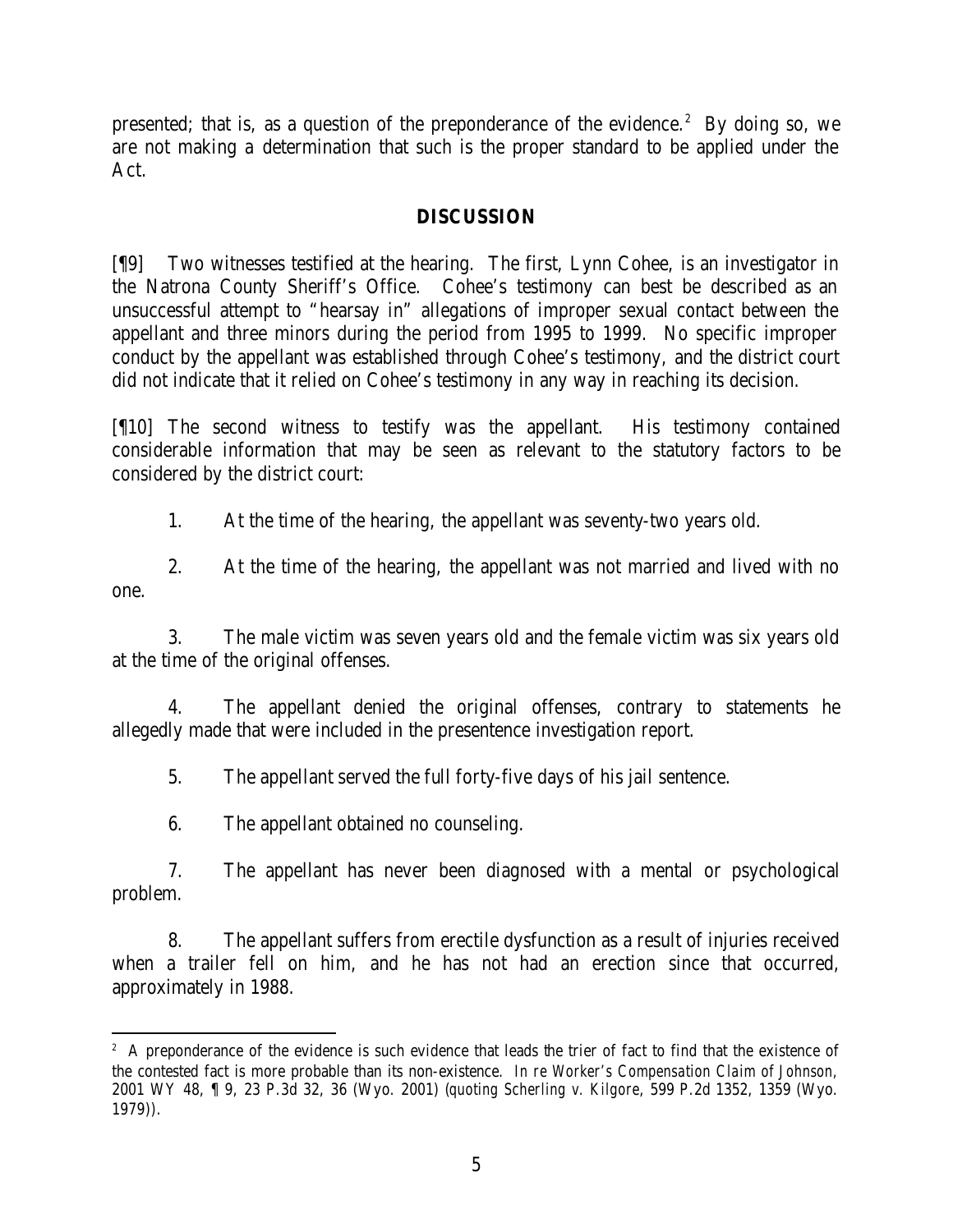presented; that is, as a question of the preponderance of the evidence.<sup>2</sup> By doing so, we are not making a determination that such is the proper standard to be applied under the Act.

#### **DISCUSSION**

[¶9] Two witnesses testified at the hearing. The first, Lynn Cohee, is an investigator in the Natrona County Sheriff's Office. Cohee's testimony can best be described as an unsuccessful attempt to "hearsay in" allegations of improper sexual contact between the appellant and three minors during the period from 1995 to 1999. No specific improper conduct by the appellant was established through Cohee's testimony, and the district court did not indicate that it relied on Cohee's testimony in any way in reaching its decision.

[¶10] The second witness to testify was the appellant. His testimony contained considerable information that may be seen as relevant to the statutory factors to be considered by the district court:

1. At the time of the hearing, the appellant was seventy-two years old.

2. At the time of the hearing, the appellant was not married and lived with no one.

3. The male victim was seven years old and the female victim was six years old at the time of the original offenses.

4. The appellant denied the original offenses, contrary to statements he allegedly made that were included in the presentence investigation report.

5. The appellant served the full forty-five days of his jail sentence.

6. The appellant obtained no counseling.

7. The appellant has never been diagnosed with a mental or psychological problem.

8. The appellant suffers from erectile dysfunction as a result of injuries received when a trailer fell on him, and he has not had an erection since that occurred, approximately in 1988.

<sup>&</sup>lt;sup>2</sup> A preponderance of the evidence is such evidence that leads the trier of fact to find that the existence of the contested fact is more probable than its non-existence. *In re Worker's Compensation Claim of Johnson,*  2001 WY 48, ¶ 9, 23 P.3d 32, 36 (Wyo. 2001) (*quoting Scherling v. Kilgore*, 599 P.2d 1352, 1359 (Wyo. 1979)).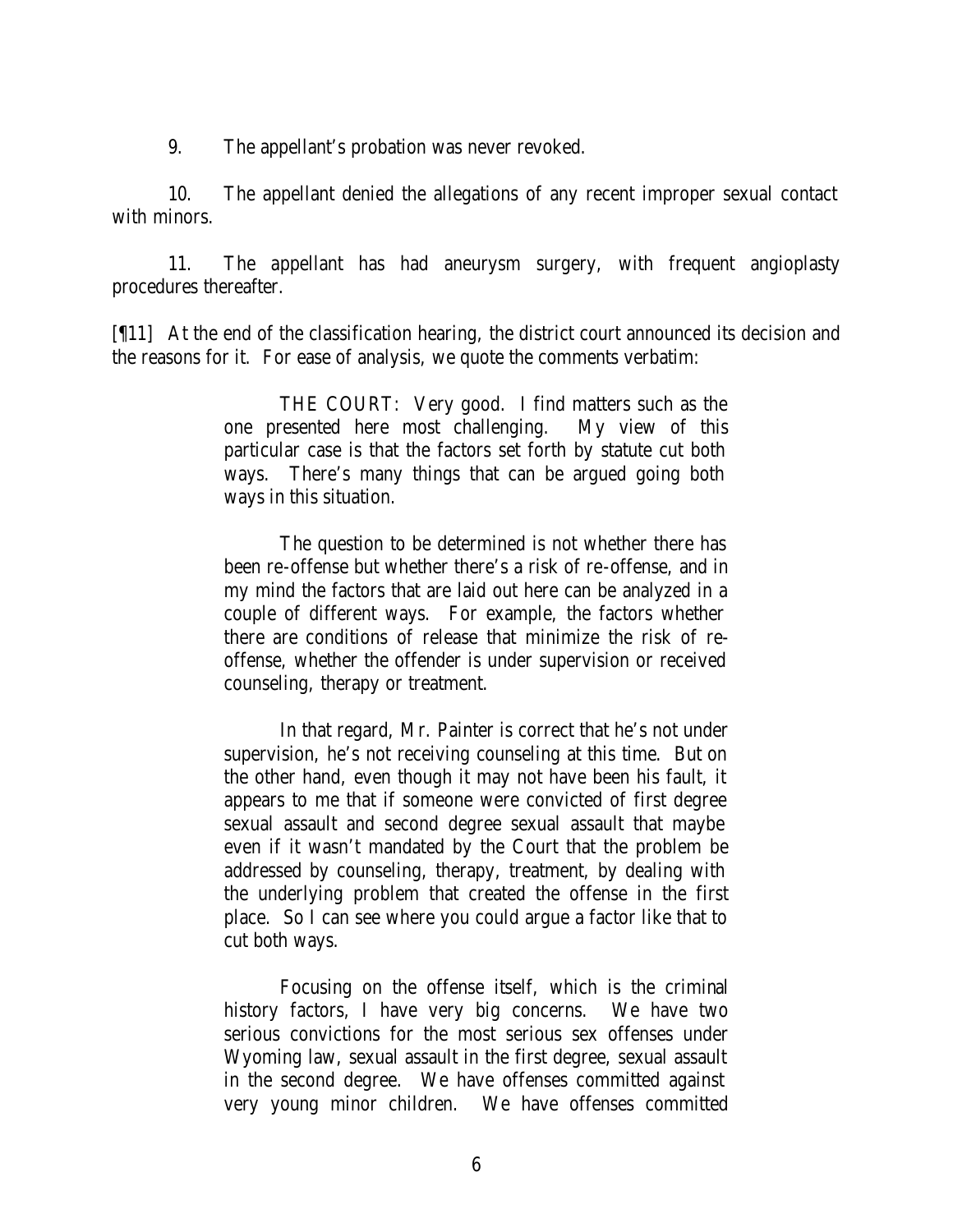9. The appellant's probation was never revoked.

10. The appellant denied the allegations of any recent improper sexual contact with minors.

11. The appellant has had aneurysm surgery, with frequent angioplasty procedures thereafter.

[¶11] At the end of the classification hearing, the district court announced its decision and the reasons for it. For ease of analysis, we quote the comments verbatim:

> THE COURT: Very good. I find matters such as the one presented here most challenging. My view of this particular case is that the factors set forth by statute cut both ways. There's many things that can be argued going both ways in this situation.

> The question to be determined is not whether there has been re-offense but whether there's a risk of re-offense, and in my mind the factors that are laid out here can be analyzed in a couple of different ways. For example, the factors whether there are conditions of release that minimize the risk of reoffense, whether the offender is under supervision or received counseling, therapy or treatment.

> In that regard, Mr. Painter is correct that he's not under supervision, he's not receiving counseling at this time. But on the other hand, even though it may not have been his fault, it appears to me that if someone were convicted of first degree sexual assault and second degree sexual assault that maybe even if it wasn't mandated by the Court that the problem be addressed by counseling, therapy, treatment, by dealing with the underlying problem that created the offense in the first place. So I can see where you could argue a factor like that to cut both ways.

> Focusing on the offense itself, which is the criminal history factors, I have very big concerns. We have two serious convictions for the most serious sex offenses under Wyoming law, sexual assault in the first degree, sexual assault in the second degree. We have offenses committed against very young minor children. We have offenses committed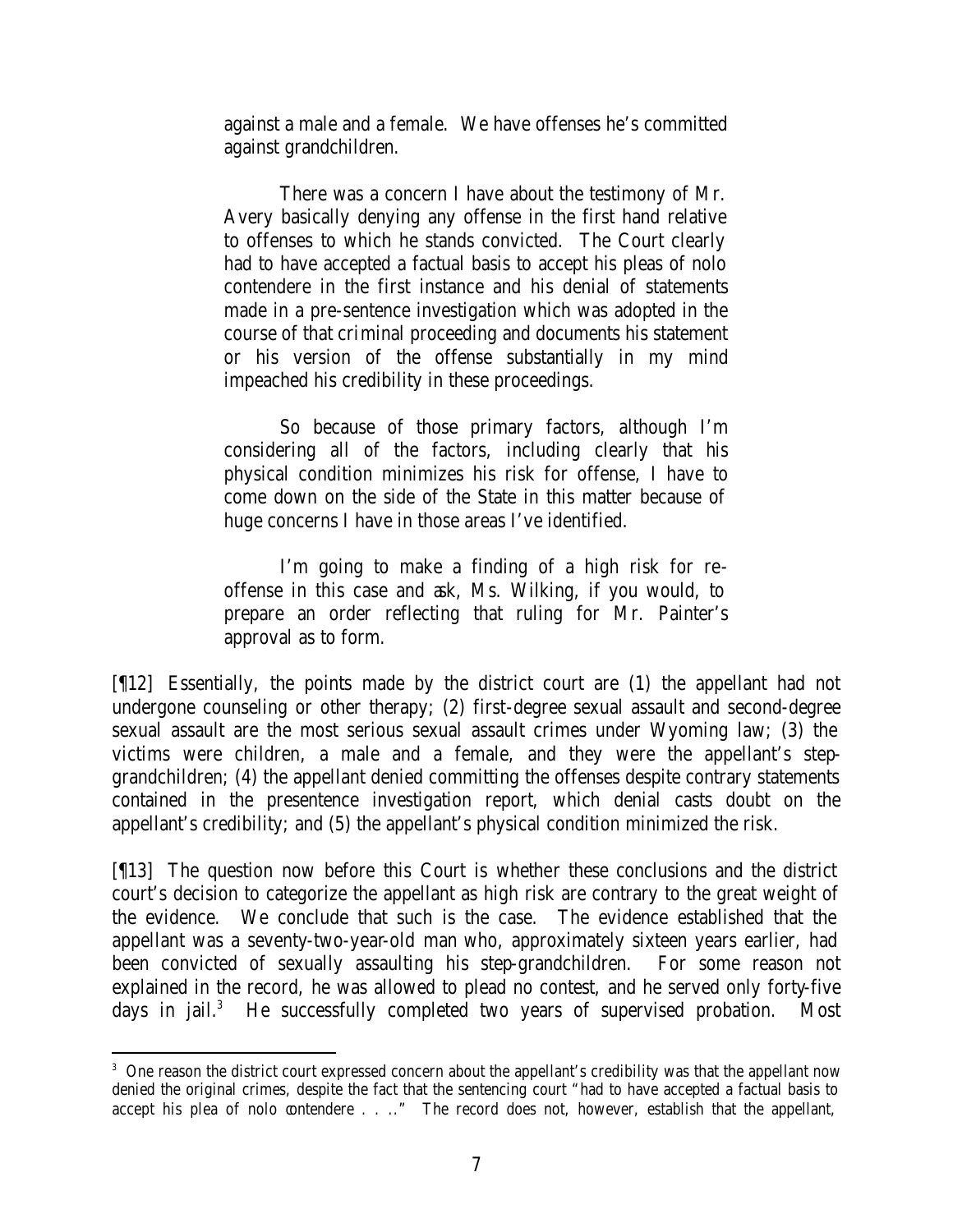against a male and a female. We have offenses he's committed against grandchildren.

There was a concern I have about the testimony of Mr. Avery basically denying any offense in the first hand relative to offenses to which he stands convicted. The Court clearly had to have accepted a factual basis to accept his pleas of nolo contendere in the first instance and his denial of statements made in a pre-sentence investigation which was adopted in the course of that criminal proceeding and documents his statement or his version of the offense substantially in my mind impeached his credibility in these proceedings.

So because of those primary factors, although I'm considering all of the factors, including clearly that his physical condition minimizes his risk for offense, I have to come down on the side of the State in this matter because of huge concerns I have in those areas I've identified.

I'm going to make a finding of a high risk for reoffense in this case and ask, Ms. Wilking, if you would, to prepare an order reflecting that ruling for Mr. Painter's approval as to form.

[¶12] Essentially, the points made by the district court are (1) the appellant had not undergone counseling or other therapy; (2) first-degree sexual assault and second-degree sexual assault are the most serious sexual assault crimes under Wyoming law; (3) the victims were children, a male and a female, and they were the appellant's stepgrandchildren; (4) the appellant denied committing the offenses despite contrary statements contained in the presentence investigation report, which denial casts doubt on the appellant's credibility; and (5) the appellant's physical condition minimized the risk.

[¶13] The question now before this Court is whether these conclusions and the district court's decision to categorize the appellant as high risk are contrary to the great weight of the evidence. We conclude that such is the case. The evidence established that the appellant was a seventy-two-year-old man who, approximately sixteen years earlier, had been convicted of sexually assaulting his step-grandchildren. For some reason not explained in the record, he was allowed to plead no contest, and he served only forty-five days in jail.<sup>3</sup> He successfully completed two years of supervised probation. Most

 <sup>3</sup> One reason the district court expressed concern about the appellant's credibility was that the appellant now denied the original crimes, despite the fact that the sentencing court "had to have accepted a factual basis to accept his plea of nolo contendere . . .." The record does not, however, establish that the appellant,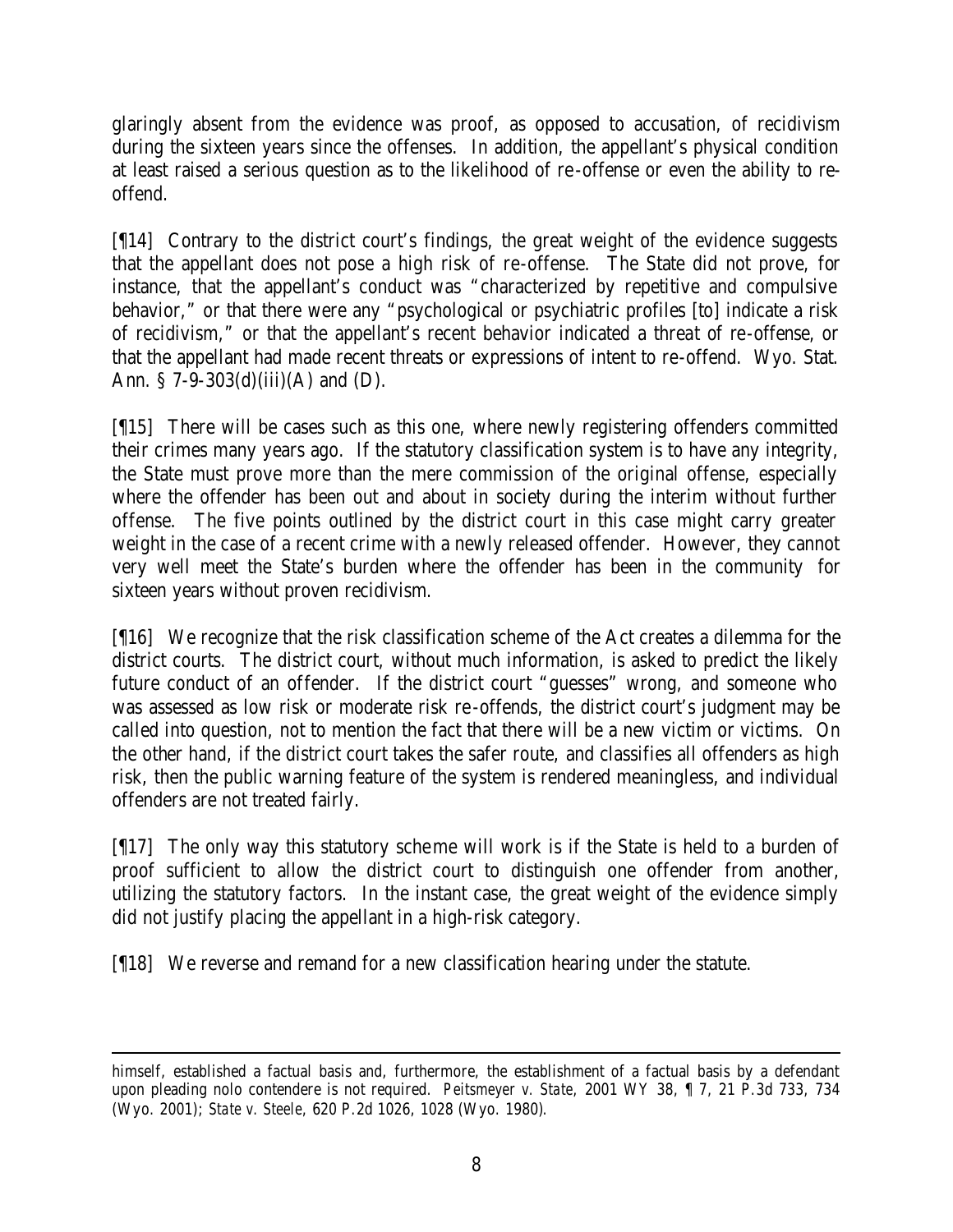glaringly absent from the evidence was proof, as opposed to accusation, of recidivism during the sixteen years since the offenses. In addition, the appellant's physical condition at least raised a serious question as to the likelihood of re-offense or even the ability to reoffend.

[¶14] Contrary to the district court's findings, the great weight of the evidence suggests that the appellant does not pose a high risk of re-offense. The State did not prove, for instance, that the appellant's conduct was "characterized by repetitive and compulsive behavior," or that there were any "psychological or psychiatric profiles [to] indicate a risk of recidivism," or that the appellant's recent behavior indicated a threat of re-offense, or that the appellant had made recent threats or expressions of intent to re-offend. Wyo. Stat. Ann. §  $7-9-303(d)(iii)(A)$  and (D).

[¶15] There will be cases such as this one, where newly registering offenders committed their crimes many years ago. If the statutory classification system is to have any integrity, the State must prove more than the mere commission of the original offense, especially where the offender has been out and about in society during the interim without further offense. The five points outlined by the district court in this case might carry greater weight in the case of a recent crime with a newly released offender. However, they cannot very well meet the State's burden where the offender has been in the community for sixteen years without proven recidivism.

[¶16] We recognize that the risk classification scheme of the Act creates a dilemma for the district courts. The district court, without much information, is asked to predict the likely future conduct of an offender. If the district court "guesses" wrong, and someone who was assessed as low risk or moderate risk re-offends, the district court's judgment may be called into question, not to mention the fact that there will be a new victim or victims. On the other hand, if the district court takes the safer route, and classifies all offenders as high risk, then the public warning feature of the system is rendered meaningless, and individual offenders are not treated fairly.

[¶17] The only way this statutory scheme will work is if the State is held to a burden of proof sufficient to allow the district court to distinguish one offender from another, utilizing the statutory factors. In the instant case, the great weight of the evidence simply did not justify placing the appellant in a high-risk category.

[¶18] We reverse and remand for a new classification hearing under the statute.

himself, established a factual basis and, furthermore, the establishment of a factual basis by a defendant upon pleading nolo contendere is not required. *Peitsmeyer v. State*, 2001 WY 38, ¶ 7, 21 P.3d 733, 734 (Wyo. 2001); *State v. Steele*, 620 P.2d 1026, 1028 (Wyo. 1980).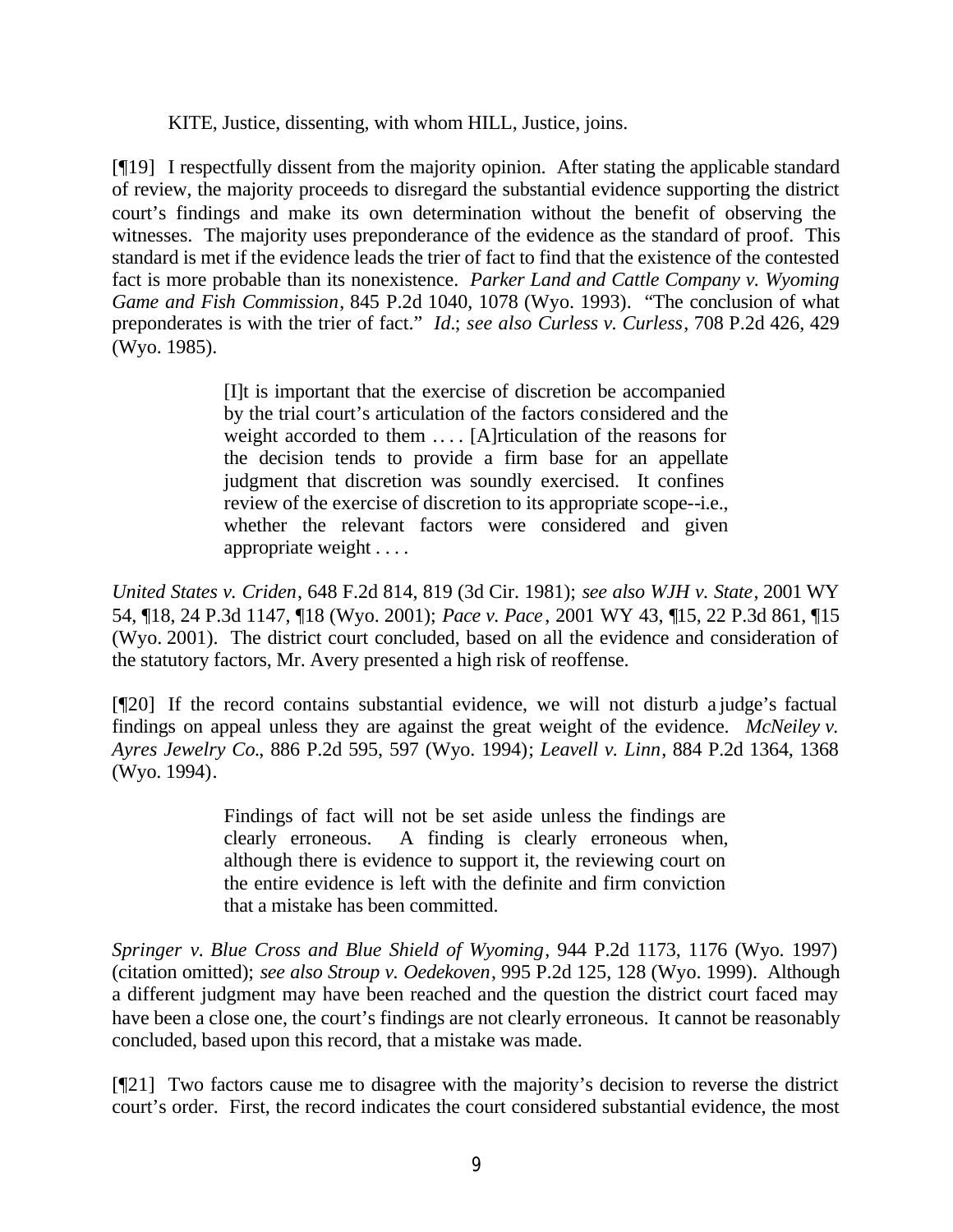KITE, Justice, dissenting, with whom HILL, Justice, joins.

[¶19] I respectfully dissent from the majority opinion. After stating the applicable standard of review, the majority proceeds to disregard the substantial evidence supporting the district court's findings and make its own determination without the benefit of observing the witnesses. The majority uses preponderance of the evidence as the standard of proof. This standard is met if the evidence leads the trier of fact to find that the existence of the contested fact is more probable than its nonexistence. *Parker Land and Cattle Company v. Wyoming Game and Fish Commission*, 845 P.2d 1040, 1078 (Wyo. 1993). "The conclusion of what preponderates is with the trier of fact." *Id.*; *see also Curless v. Curless*, 708 P.2d 426, 429 (Wyo. 1985).

> [I]t is important that the exercise of discretion be accompanied by the trial court's articulation of the factors considered and the weight accorded to them .... [A]rticulation of the reasons for the decision tends to provide a firm base for an appellate judgment that discretion was soundly exercised. It confines review of the exercise of discretion to its appropriate scope--i.e., whether the relevant factors were considered and given appropriate weight . . . .

*United States v. Criden*, 648 F.2d 814, 819 (3d Cir. 1981); *see also WJH v. State*, 2001 WY 54, ¶18, 24 P.3d 1147, ¶18 (Wyo. 2001); *Pace v. Pace*, 2001 WY 43, ¶15, 22 P.3d 861, ¶15 (Wyo. 2001). The district court concluded, based on all the evidence and consideration of the statutory factors, Mr. Avery presented a high risk of reoffense.

[¶20] If the record contains substantial evidence, we will not disturb a judge's factual findings on appeal unless they are against the great weight of the evidence. *McNeiley v. Ayres Jewelry Co.*, 886 P.2d 595, 597 (Wyo. 1994); *Leavell v. Linn*, 884 P.2d 1364, 1368 (Wyo. 1994).

> Findings of fact will not be set aside unless the findings are clearly erroneous. A finding is clearly erroneous when, although there is evidence to support it, the reviewing court on the entire evidence is left with the definite and firm conviction that a mistake has been committed.

*Springer v. Blue Cross and Blue Shield of Wyoming*, 944 P.2d 1173, 1176 (Wyo. 1997) (citation omitted); *see also Stroup v. Oedekoven*, 995 P.2d 125, 128 (Wyo. 1999). Although a different judgment may have been reached and the question the district court faced may have been a close one, the court's findings are not clearly erroneous. It cannot be reasonably concluded, based upon this record, that a mistake was made.

[¶21] Two factors cause me to disagree with the majority's decision to reverse the district court's order. First, the record indicates the court considered substantial evidence, the most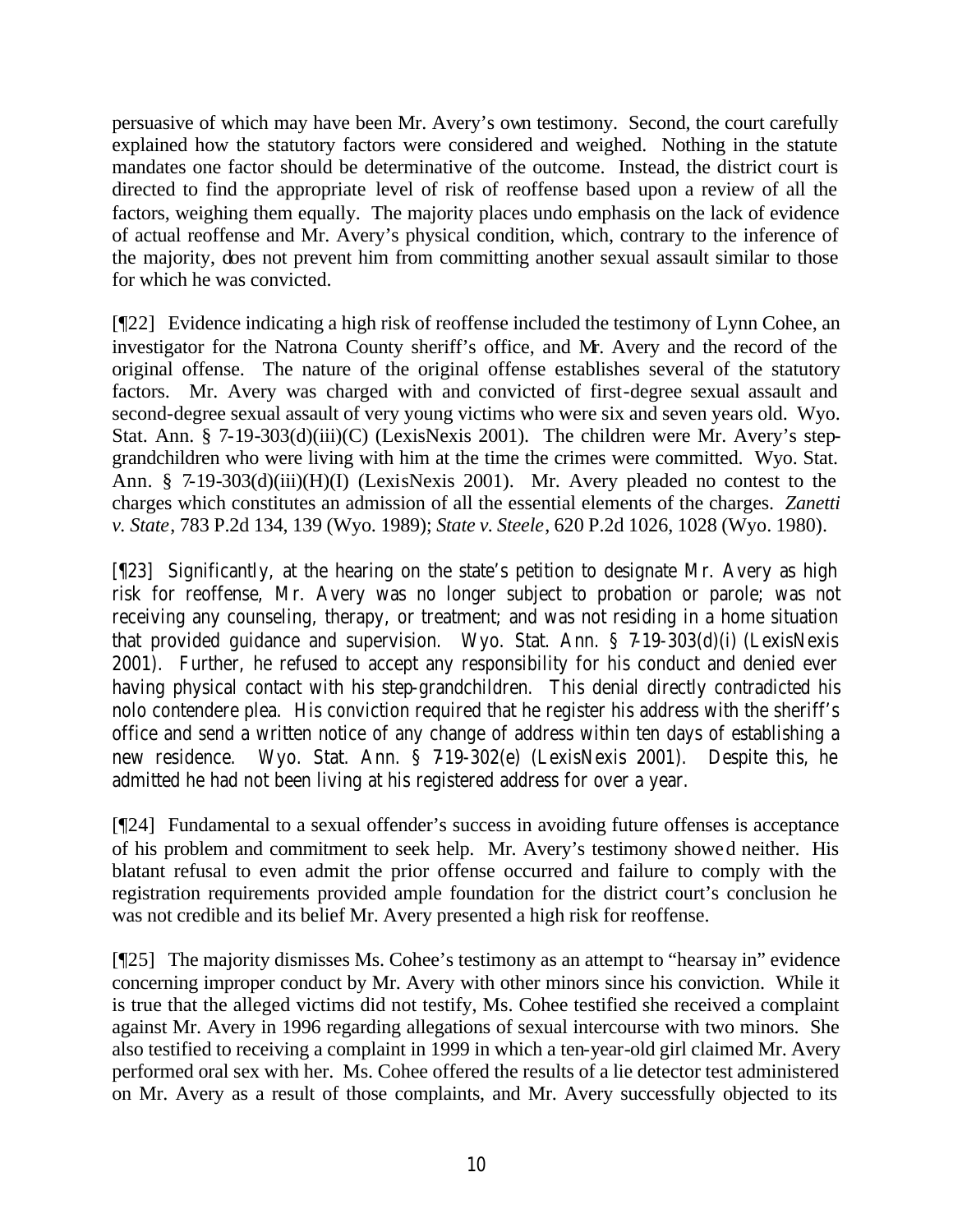persuasive of which may have been Mr. Avery's own testimony. Second, the court carefully explained how the statutory factors were considered and weighed. Nothing in the statute mandates one factor should be determinative of the outcome. Instead, the district court is directed to find the appropriate level of risk of reoffense based upon a review of all the factors, weighing them equally. The majority places undo emphasis on the lack of evidence of actual reoffense and Mr. Avery's physical condition, which, contrary to the inference of the majority, does not prevent him from committing another sexual assault similar to those for which he was convicted.

[¶22] Evidence indicating a high risk of reoffense included the testimony of Lynn Cohee, an investigator for the Natrona County sheriff's office, and Mr. Avery and the record of the original offense. The nature of the original offense establishes several of the statutory factors. Mr. Avery was charged with and convicted of first-degree sexual assault and second-degree sexual assault of very young victims who were six and seven years old. Wyo. Stat. Ann. § 7-19-303(d)(iii)(C) (LexisNexis 2001). The children were Mr. Avery's stepgrandchildren who were living with him at the time the crimes were committed. Wyo. Stat. Ann. § 7-19-303(d)(iii)(H)(I) (LexisNexis 2001). Mr. Avery pleaded no contest to the charges which constitutes an admission of all the essential elements of the charges. *Zanetti v. State*, 783 P.2d 134, 139 (Wyo. 1989); *State v. Steele*, 620 P.2d 1026, 1028 (Wyo. 1980).

[¶23] Significantly, at the hearing on the state's petition to designate Mr. Avery as high risk for reoffense, Mr. Avery was no longer subject to probation or parole; was not receiving any counseling, therapy, or treatment; and was not residing in a home situation that provided guidance and supervision. Wyo. Stat. Ann. § 7-19-303(d)(i) (LexisNexis 2001). Further, he refused to accept any responsibility for his conduct and denied ever having physical contact with his step-grandchildren. This denial directly contradicted his nolo contendere plea. His conviction required that he register his address with the sheriff's office and send a written notice of any change of address within ten days of establishing a new residence. Wyo. Stat. Ann. § 7-19-302(e) (LexisNexis 2001). Despite this, he admitted he had not been living at his registered address for over a year.

[¶24] Fundamental to a sexual offender's success in avoiding future offenses is acceptance of his problem and commitment to seek help. Mr. Avery's testimony showed neither. His blatant refusal to even admit the prior offense occurred and failure to comply with the registration requirements provided ample foundation for the district court's conclusion he was not credible and its belief Mr. Avery presented a high risk for reoffense.

[¶25] The majority dismisses Ms. Cohee's testimony as an attempt to "hearsay in" evidence concerning improper conduct by Mr. Avery with other minors since his conviction. While it is true that the alleged victims did not testify, Ms. Cohee testified she received a complaint against Mr. Avery in 1996 regarding allegations of sexual intercourse with two minors. She also testified to receiving a complaint in 1999 in which a ten-year-old girl claimed Mr. Avery performed oral sex with her. Ms. Cohee offered the results of a lie detector test administered on Mr. Avery as a result of those complaints, and Mr. Avery successfully objected to its